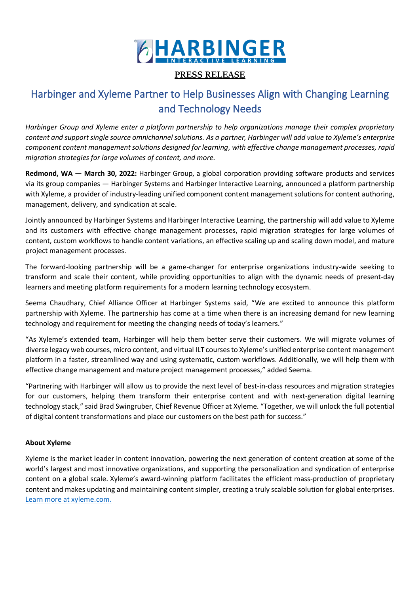

## **PRESS RELEASE**

# Harbinger and Xyleme Partner to Help Businesses Align with Changing Learning and Technology Needs

*Harbinger Group and Xyleme enter a platform partnership to help organizations manage their complex proprietary content and support single source omnichannel solutions. As a partner, Harbinger will add value to Xyleme's enterprise component content management solutions designed for learning, with effective change management processes, rapid migration strategies for large volumes of content, and more.*

**Redmond, WA — March 30, 2022:** Harbinger Group, a global corporation providing software products and services via its group companies — Harbinger Systems and Harbinger Interactive Learning, announced a platform partnership with Xyleme, a provider of industry-leading unified component content management solutions for content authoring, management, delivery, and syndication at scale.

Jointly announced by Harbinger Systems and Harbinger Interactive Learning, the partnership will add value to Xyleme and its customers with effective change management processes, rapid migration strategies for large volumes of content, custom workflows to handle content variations, an effective scaling up and scaling down model, and mature project management processes.

The forward-looking partnership will be a game-changer for enterprise organizations industry-wide seeking to transform and scale their content, while providing opportunities to align with the dynamic needs of present-day learners and meeting platform requirements for a modern learning technology ecosystem.

Seema Chaudhary, Chief Alliance Officer at Harbinger Systems said, "We are excited to announce this platform partnership with Xyleme. The partnership has come at a time when there is an increasing demand for new learning technology and requirement for meeting the changing needs of today's learners."

"As Xyleme's extended team, Harbinger will help them better serve their customers. We will migrate volumes of diverse legacy web courses, micro content, and virtual ILT courses to Xyleme's unified enterprise content management platform in a faster, streamlined way and using systematic, custom workflows. Additionally, we will help them with effective change management and mature project management processes," added Seema.

"Partnering with Harbinger will allow us to provide the next level of best-in-class resources and migration strategies for our customers, helping them transform their enterprise content and with next-generation digital learning technology stack," said Brad Swingruber, Chief Revenue Officer at Xyleme. "Together, we will unlock the full potential of digital content transformations and place our customers on the best path for success."

### **About Xyleme**

Xyleme is the market leader in content innovation, powering the next generation of content creation at some of the world's largest and most innovative organizations, and supporting the personalization and syndication of enterprise content on a global scale. Xyleme's award-winning platform facilitates the efficient mass-production of proprietary content and makes updating and maintaining content simpler, creating a truly scalable solution for global enterprises. [Learn more at xyleme.com.](https://xyleme.com/)